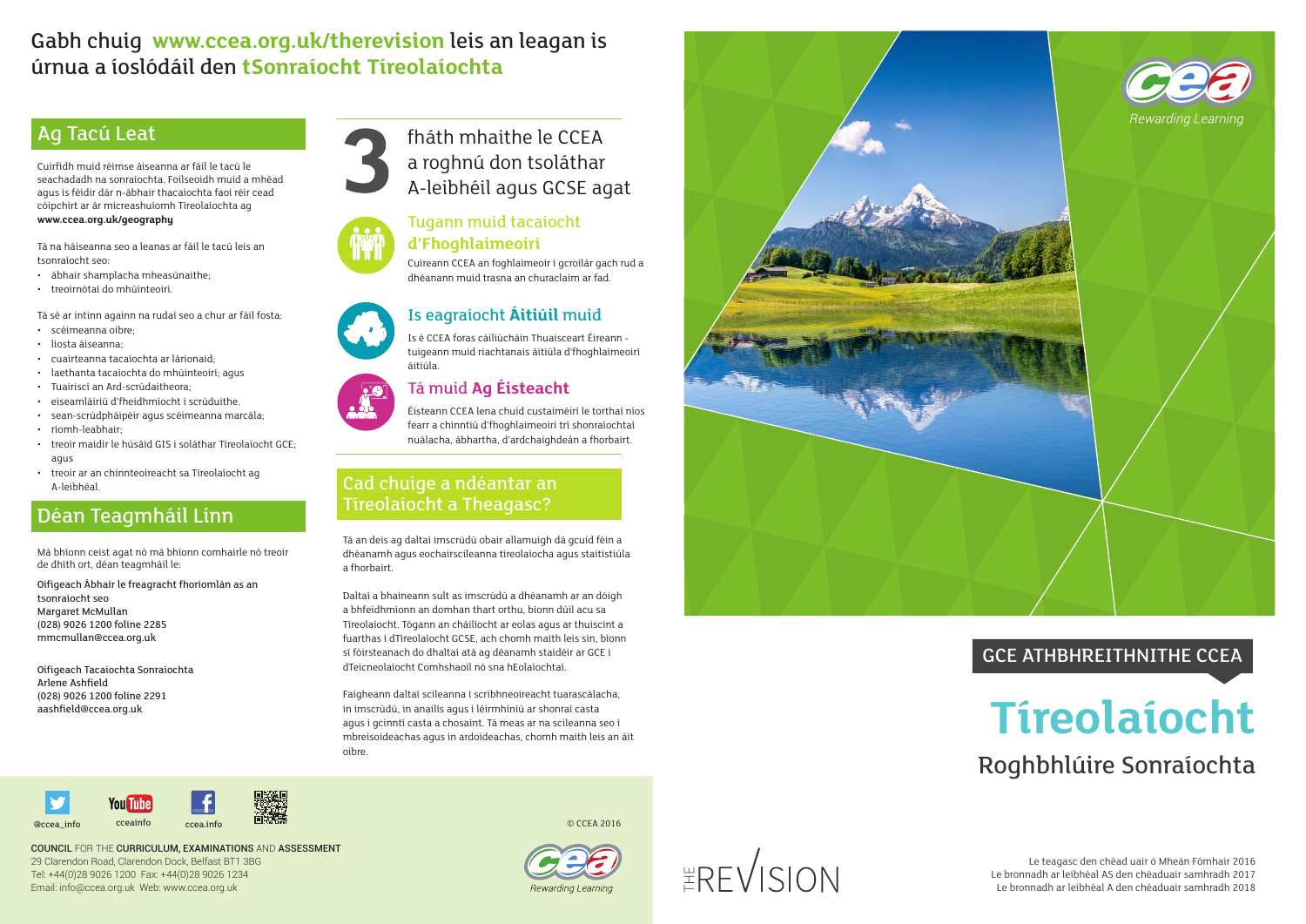## Ag Tacú Leat

Cuirfidh muid réimse áiseanna ar fáil le tacú le seachadadh na sonraíochta. Foilseoidh muid a mhéad agus is féidir dár n-ábhair thacaíochta faoi réir cead cóipchirt ar ár micreashuíomh Tíreolaíochta ag **www.ccea.org.uk/geography**

Tá na háiseanna seo a leanas ar fáil le tacú leis an tsonraíocht seo:

- ábhair shamplacha mheasúnaithe;
- treoirnótaí do mhúinteoirí.

Tá sé ar intinn againn na rudaí seo a chur ar fáil fosta:

- scéimeanna oibre;
- liosta áiseanna;
- cuairteanna tacaíochta ar lárionaid;
- laethanta tacaíochta do mhúinteoirí; agus
- Tuairiscí an Ard-scrúdaitheora;
- eiseamláiriú d'fheidhmíocht i scrúduithe.
- sean-scrúdpháipéir agus scéimeanna marcála;
- ríomh-leabhair;
- treoir maidir le húsáid GIS i soláthar Tíreolaíocht GCE; agus
- treoir ar an chinnteoireacht sa Tíreolaíocht ag A-leibhéal.

# Gabh chuig **www.ccea.org.uk/therevision** leis an leagan is úrnua a íoslódáil den **tSonraíocht Tíreolaíochta**

# Déan Teagmháil Linn

Má bhíonn ceist agat nó má bhíonn comhairle nó treoir de dhíth ort, déan teagmháil le:

Oifigeach Ábhair le freagracht fhoriomlán as an tsonraíocht seo Margaret McMullan (028) 9026 1200 folíne 2285 mmcmullan@ccea.org.uk

Oifigeach Tacaíochta Sonraíochta Arlene Ashfield (028) 9026 1200 folíne 2291 aashfield@ccea.org.uk



#### Cad chuige a ndéantar an Tíreolaíocht a Theagasc?

Tá an deis ag daltaí imscrúdú obair allamuigh dá gcuid féin a dhéanamh agus eochairscileanna tíreolaíocha agus staitistiúla a fhorbairt.

> Le teagasc den chéad uair ó Mheán Fómhair 2016 Le bronnadh ar leibhéal AS den chéaduair samhradh 2017 Le bronnadh ar leibhéal A den chéaduair samhradh 2018

Daltaí a bhaineann sult as imscrúdú a dhéanamh ar an dóigh a bhfeidhmíonn an domhan thart orthu, bíonn dúil acu sa Tíreolaíocht. Tógann an cháilíocht ar eolas agus ar thuiscint a fuarthas i dTíreolaíocht GCSE, ach chomh maith leis sin, bíonn sí fóirsteanach do dhaltaí atá ag déanamh staidéir ar GCE i dTeicneolaíocht Comhshaoil nó sna hEolaíochtaí.

Faigheann daltaí scileanna i scríbhneoireacht tuarascálacha, in imscrúdú, in anailís agus i léirmhíniú ar shonraí casta agus i gcinntí casta a chosaint. Tá meas ar na scileanna seo i mbreisoideachas agus in ardoideachas, chomh maith leis an áit oibre.



COUNCIL FOR THE CURRICULUM, EXAMINATIONS AND ASSESSMENT 29 Clarendon Road, Clarendon Dock, Belfast BT1 3BG Tel: +44(0)28 9026 1200 Fax: +44(0)28 9026 1234 Email: info@ccea.org.uk Web: www.ccea.org.uk



### Tugann muid tacaíocht **d'Fhoghlaimeoirí**

Cuireann CCEA an foghlaimeoir i gcroílár gach rud a dhéanann muid trasna an churaclaim ar fad.





# **Tíreolaíocht** Roghbhlúire Sonraíochta GCE ATHBHREITHNITHE CCEA

Is eagraíocht **Áitiúil** muid

### Is é CCEA foras cáiliúcháin Thuaisceart Éireann -

tuigeann muid riachtanais áitiúla d'fhoghlaimeoirí áitiúla.

#### Tá muid **Ag Éisteacht**

Éisteann CCEA lena chuid custaiméirí le torthaí níos fearr a chinntiú d'fhoghlaimeoirí trí shonraíochtaí nuálacha, ábhartha, d'ardchaighdeán a fhorbairt.

fháth mhaithe le CCEA a roghnú don tsoláthar A-leibhéil agus GCSE agat

© CCEA 2016

 $ERFV$ SION